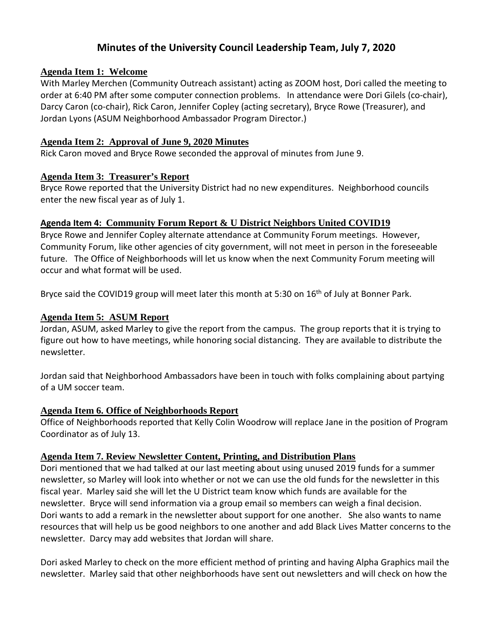# **Minutes of the University Council Leadership Team, July 7, 2020**

#### **Agenda Item 1: Welcome**

With Marley Merchen (Community Outreach assistant) acting as ZOOM host, Dori called the meeting to order at 6:40 PM after some computer connection problems. In attendance were Dori Gilels (co-chair), Darcy Caron (co-chair), Rick Caron, Jennifer Copley (acting secretary), Bryce Rowe (Treasurer), and Jordan Lyons (ASUM Neighborhood Ambassador Program Director.)

#### **Agenda Item 2: Approval of June 9, 2020 Minutes**

Rick Caron moved and Bryce Rowe seconded the approval of minutes from June 9.

## **Agenda Item 3: Treasurer's Report**

Bryce Rowe reported that the University District had no new expenditures. Neighborhood councils enter the new fiscal year as of July 1.

## **Agenda Item 4: Community Forum Report & U District Neighbors United COVID19**

Bryce Rowe and Jennifer Copley alternate attendance at Community Forum meetings. However, Community Forum, like other agencies of city government, will not meet in person in the foreseeable future. The Office of Neighborhoods will let us know when the next Community Forum meeting will occur and what format will be used.

Bryce said the COVID19 group will meet later this month at 5:30 on 16<sup>th</sup> of July at Bonner Park.

## **Agenda Item 5: ASUM Report**

Jordan, ASUM, asked Marley to give the report from the campus. The group reports that it is trying to figure out how to have meetings, while honoring social distancing. They are available to distribute the newsletter.

Jordan said that Neighborhood Ambassadors have been in touch with folks complaining about partying of a UM soccer team.

## **Agenda Item 6. Office of Neighborhoods Report**

Office of Neighborhoods reported that Kelly Colin Woodrow will replace Jane in the position of Program Coordinator as of July 13.

## **Agenda Item 7. Review Newsletter Content, Printing, and Distribution Plans**

Dori mentioned that we had talked at our last meeting about using unused 2019 funds for a summer newsletter, so Marley will look into whether or not we can use the old funds for the newsletter in this fiscal year. Marley said she will let the U District team know which funds are available for the newsletter. Bryce will send information via a group email so members can weigh a final decision. Dori wants to add a remark in the newsletter about support for one another. She also wants to name resources that will help us be good neighbors to one another and add Black Lives Matter concerns to the newsletter. Darcy may add websites that Jordan will share.

Dori asked Marley to check on the more efficient method of printing and having Alpha Graphics mail the newsletter. Marley said that other neighborhoods have sent out newsletters and will check on how the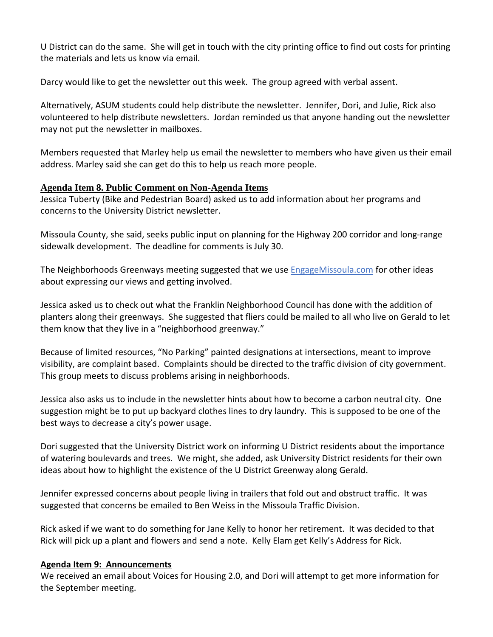U District can do the same. She will get in touch with the city printing office to find out costs for printing the materials and lets us know via email.

Darcy would like to get the newsletter out this week. The group agreed with verbal assent.

Alternatively, ASUM students could help distribute the newsletter. Jennifer, Dori, and Julie, Rick also volunteered to help distribute newsletters. Jordan reminded us that anyone handing out the newsletter may not put the newsletter in mailboxes.

Members requested that Marley help us email the newsletter to members who have given us their email address. Marley said she can get do this to help us reach more people.

## **Agenda Item 8. Public Comment on Non-Agenda Items**

Jessica Tuberty (Bike and Pedestrian Board) asked us to add information about her programs and concerns to the University District newsletter.

Missoula County, she said, seeks public input on planning for the Highway 200 corridor and long-range sidewalk development. The deadline for comments is July 30.

The Neighborhoods Greenways meeting suggested that we use EngageMissoula.com for other ideas about expressing our views and getting involved.

Jessica asked us to check out what the Franklin Neighborhood Council has done with the addition of planters along their greenways. She suggested that fliers could be mailed to all who live on Gerald to let them know that they live in a "neighborhood greenway."

Because of limited resources, "No Parking" painted designations at intersections, meant to improve visibility, are complaint based. Complaints should be directed to the traffic division of city government. This group meets to discuss problems arising in neighborhoods.

Jessica also asks us to include in the newsletter hints about how to become a carbon neutral city. One suggestion might be to put up backyard clothes lines to dry laundry. This is supposed to be one of the best ways to decrease a city's power usage.

Dori suggested that the University District work on informing U District residents about the importance of watering boulevards and trees. We might, she added, ask University District residents for their own ideas about how to highlight the existence of the U District Greenway along Gerald.

Jennifer expressed concerns about people living in trailers that fold out and obstruct traffic. It was suggested that concerns be emailed to Ben Weiss in the Missoula Traffic Division.

Rick asked if we want to do something for Jane Kelly to honor her retirement. It was decided to that Rick will pick up a plant and flowers and send a note. Kelly Elam get Kelly's Address for Rick.

## **Agenda Item 9: Announcements**

We received an email about Voices for Housing 2.0, and Dori will attempt to get more information for the September meeting.